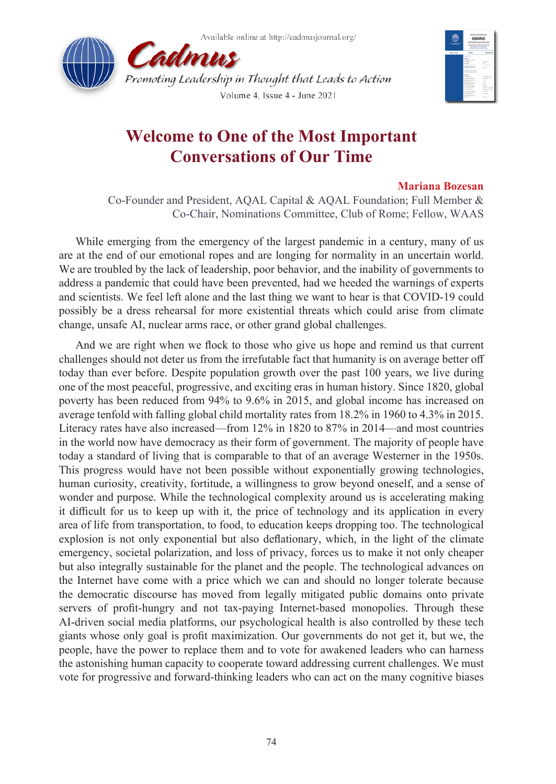



## **Welcome to One of the Most Important Conversations of Our Time**

## **Mariana Bozesan**

Co-Founder and President, AQAL Capital & AQAL Foundation; Full Member & Co-Chair, Nominations Committee, Club of Rome; Fellow, WAAS

While emerging from the emergency of the largest pandemic in a century, many of us are at the end of our emotional ropes and are longing for normality in an uncertain world. We are troubled by the lack of leadership, poor behavior, and the inability of governments to address a pandemic that could have been prevented, had we heeded the warnings of experts and scientists. We feel left alone and the last thing we want to hear is that COVID-19 could possibly be a dress rehearsal for more existential threats which could arise from climate change, unsafe AI, nuclear arms race, or other grand global challenges.

And we are right when we flock to those who give us hope and remind us that current challenges should not deter us from the irrefutable fact that humanity is on average better off today than ever before. Despite population growth over the past 100 years, we live during one of the most peaceful, progressive, and exciting eras in human history. Since 1820, global poverty has been reduced from 94% to 9.6% in 2015, and global income has increased on average tenfold with falling global child mortality rates from 18.2% in 1960 to 4.3% in 2015. Literacy rates have also increased—from 12% in 1820 to 87% in 2014—and most countries in the world now have democracy as their form of government. The majority of people have today a standard of living that is comparable to that of an average Westerner in the 1950s. This progress would have not been possible without exponentially growing technologies, human curiosity, creativity, fortitude, a willingness to grow beyond oneself, and a sense of wonder and purpose. While the technological complexity around us is accelerating making it difficult for us to keep up with it, the price of technology and its application in every area of life from transportation, to food, to education keeps dropping too. The technological explosion is not only exponential but also deflationary, which, in the light of the climate emergency, societal polarization, and loss of privacy, forces us to make it not only cheaper but also integrally sustainable for the planet and the people. The technological advances on the Internet have come with a price which we can and should no longer tolerate because the democratic discourse has moved from legally mitigated public domains onto private servers of profit-hungry and not tax-paying Internet-based monopolies. Through these AI-driven social media platforms, our psychological health is also controlled by these tech giants whose only goal is profit maximization. Our governments do not get it, but we, the people, have the power to replace them and to vote for awakened leaders who can harness the astonishing human capacity to cooperate toward addressing current challenges. We must vote for progressive and forward-thinking leaders who can act on the many cognitive biases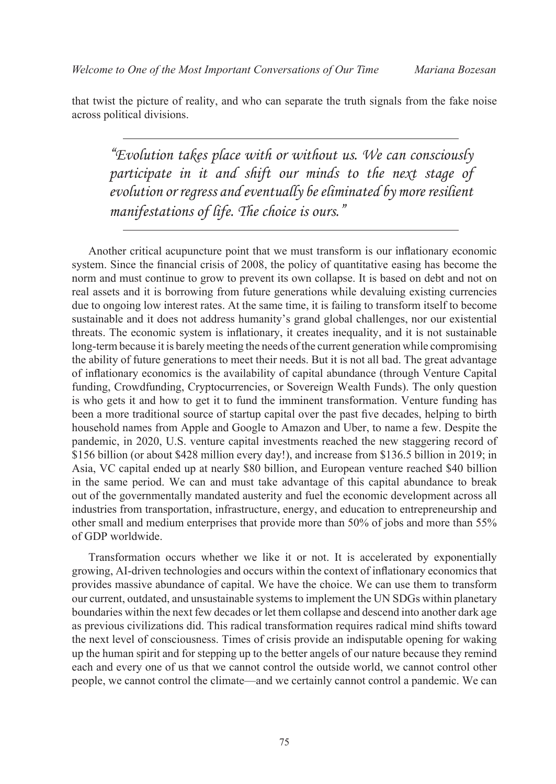that twist the picture of reality, and who can separate the truth signals from the fake noise across political divisions.

*"Evolution takes place with or without us. We can consciously*  participate in it and shift our minds to the next stage of *evolution or regress and eventually be eliminated by more resilient manifestations of life. The choice is ours."*

Another critical acupuncture point that we must transform is our inflationary economic system. Since the financial crisis of 2008, the policy of quantitative easing has become the norm and must continue to grow to prevent its own collapse. It is based on debt and not on real assets and it is borrowing from future generations while devaluing existing currencies due to ongoing low interest rates. At the same time, it is failing to transform itself to become sustainable and it does not address humanity's grand global challenges, nor our existential threats. The economic system is inflationary, it creates inequality, and it is not sustainable long-term because it is barely meeting the needs of the current generation while compromising the ability of future generations to meet their needs. But it is not all bad. The great advantage of inflationary economics is the availability of capital abundance (through Venture Capital funding, Crowdfunding, Cryptocurrencies, or Sovereign Wealth Funds). The only question is who gets it and how to get it to fund the imminent transformation. Venture funding has been a more traditional source of startup capital over the past five decades, helping to birth household names from Apple and Google to Amazon and Uber, to name a few. Despite the pandemic, in 2020, U.S. venture capital investments reached the new staggering record of \$156 billion (or about \$428 million every day!), and increase from \$136.5 billion in 2019; in Asia, VC capital ended up at nearly \$80 billion, and European venture reached \$40 billion in the same period. We can and must take advantage of this capital abundance to break out of the governmentally mandated austerity and fuel the economic development across all industries from transportation, infrastructure, energy, and education to entrepreneurship and other small and medium enterprises that provide more than 50% of jobs and more than 55% of GDP worldwide.

Transformation occurs whether we like it or not. It is accelerated by exponentially growing, AI-driven technologies and occurs within the context of inflationary economics that provides massive abundance of capital. We have the choice. We can use them to transform our current, outdated, and unsustainable systems to implement the UN SDGs within planetary boundaries within the next few decades or let them collapse and descend into another dark age as previous civilizations did. This radical transformation requires radical mind shifts toward the next level of consciousness. Times of crisis provide an indisputable opening for waking up the human spirit and for stepping up to the better angels of our nature because they remind each and every one of us that we cannot control the outside world, we cannot control other people, we cannot control the climate—and we certainly cannot control a pandemic. We can